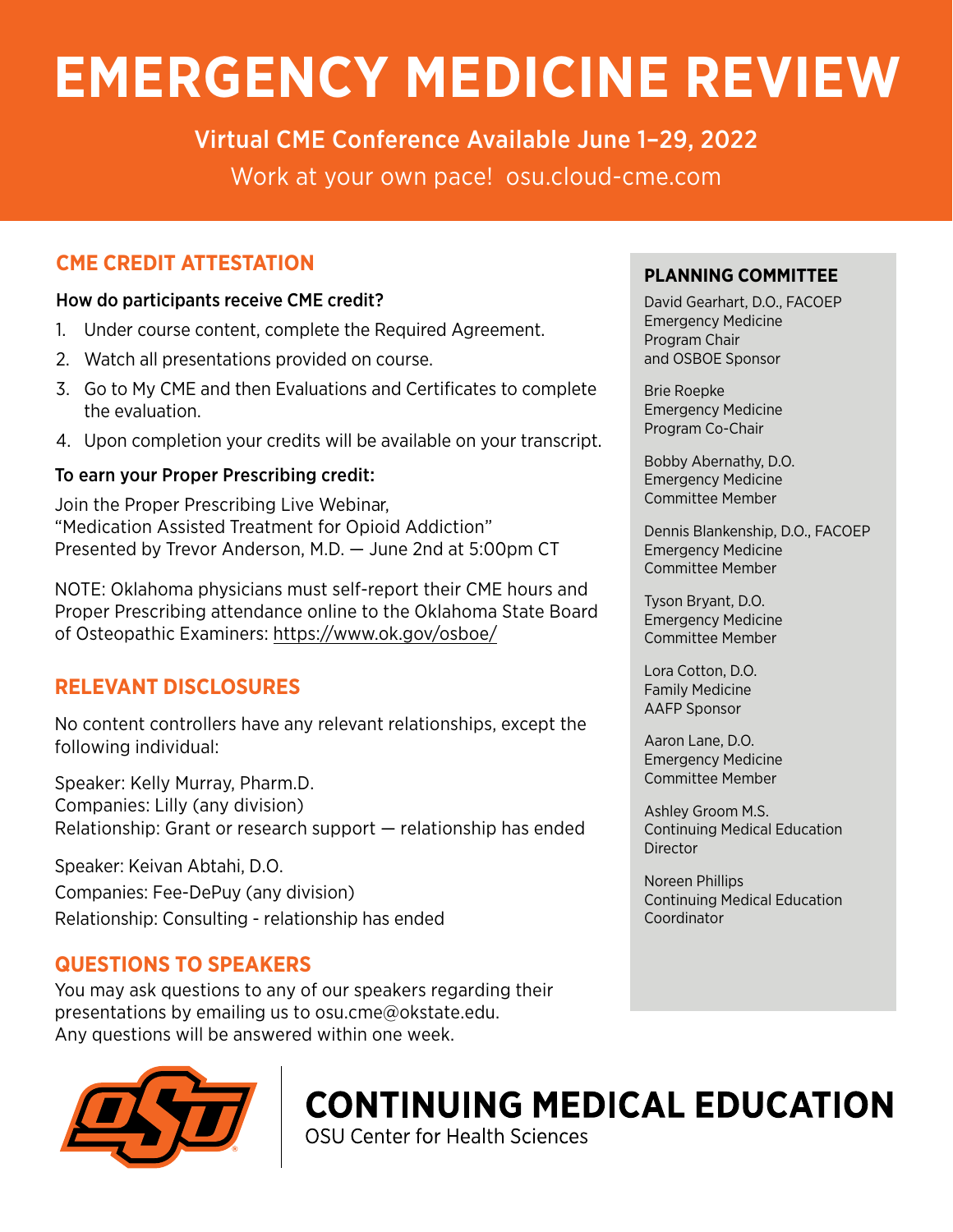# **EMERGENCY MEDICINE REVIEW**

Virtual CME Conference Available June 1–29, 2022 Work at your own pace! [osu.cloud-cme.com](http://osu.cloud-cme.com)

# **CME CREDIT ATTESTATION**

### How do participants receive CME credit?

- 1. Under course content, complete the Required Agreement.
- 2. Watch all presentations provided on course.
- 3. Go to My CME and then Evaluations and Certificates to complete the evaluation.
- 4. Upon completion your credits will be available on your transcript.

## To earn your Proper Prescribing credit:

Join the Proper Prescribing Live Webinar, "Medication Assisted Treatment for Opioid Addiction" Presented by Trevor Anderson, M.D. — June 2nd at 5:00pm CT

NOTE: Oklahoma physicians must self-report their CME hours and Proper Prescribing attendance online to the Oklahoma State Board of Osteopathic Examiners: <https://www.ok.gov/osboe/>

# **RELEVANT DISCLOSURES**

No content controllers have any relevant relationships, except the following individual:

Speaker: Kelly Murray, Pharm.D. Companies: Lilly (any division) Relationship: Grant or research support — relationship has ended

Speaker: Keivan Abtahi, D.O. Companies: Fee-DePuy (any division) Relationship: Consulting - relationship has ended

## **QUESTIONS TO SPEAKERS**

You may ask questions to any of our speakers regarding their presentations by emailing us to osu.cme@okstate.edu. Any questions will be answered within one week.



# **CONTINUING MEDICAL EDUCATION**

OSU Center for Health Sciences

## **PLANNING COMMITTEE**

David Gearhart, D.O., FACOEP Emergency Medicine Program Chair and OSBOE Sponsor

Brie Roepke Emergency Medicine Program Co-Chair

Bobby Abernathy, D.O. Emergency Medicine Committee Member

Dennis Blankenship, D.O., FACOEP Emergency Medicine Committee Member

Tyson Bryant, D.O. Emergency Medicine Committee Member

Lora Cotton, D.O. Family Medicine AAFP Sponsor

Aaron Lane, D.O. Emergency Medicine Committee Member

Ashley Groom M.S. Continuing Medical Education **Director** 

Noreen Phillips Continuing Medical Education **Coordinator**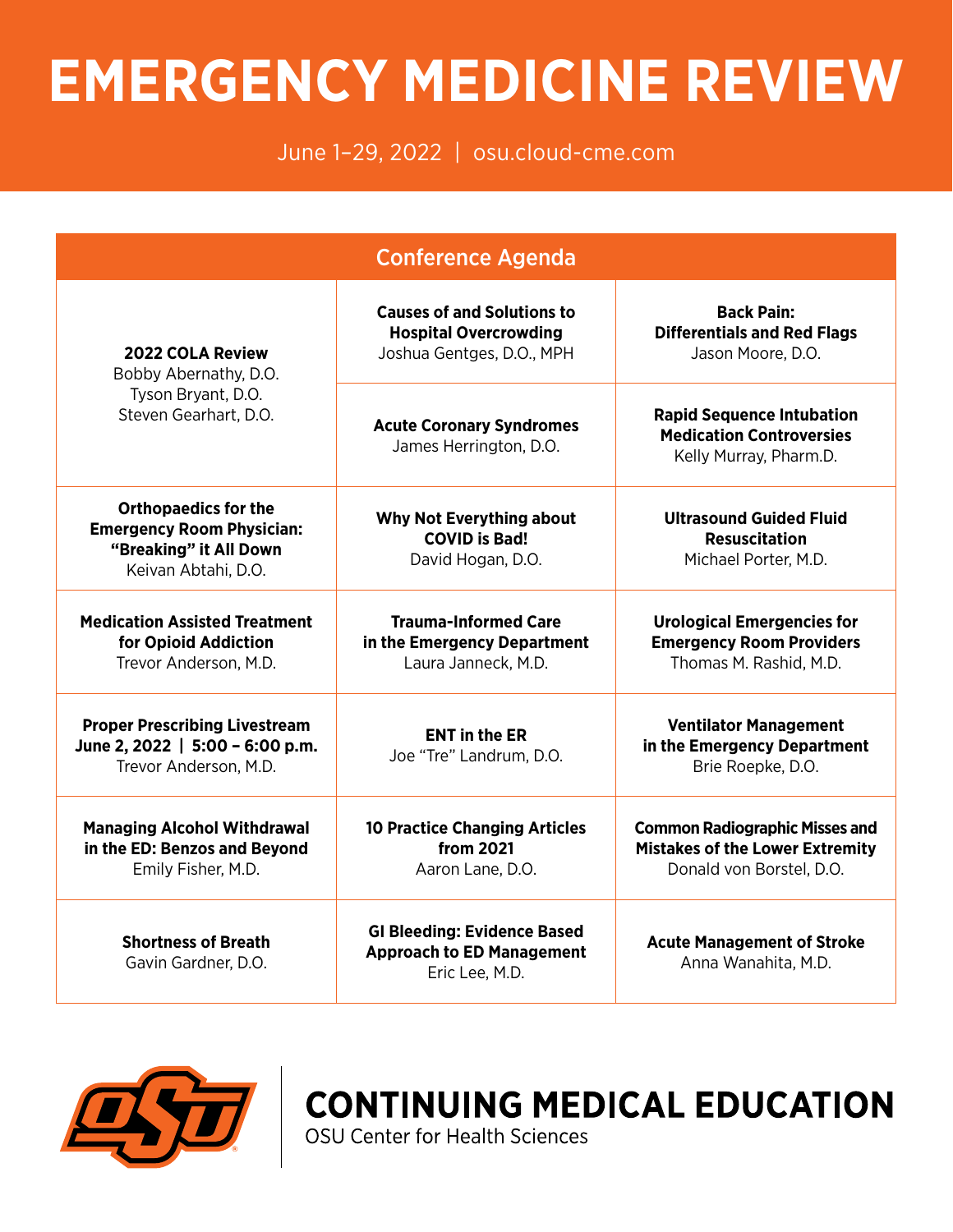# **EMERGENCY MEDICINE REVIEW**

# June 1–29, 2022 | [osu.cloud-cme.com](http://osu.cloud-cme.com)

| <b>Conference Agenda</b>                                                                                         |                                                                                                |                                                                                                             |
|------------------------------------------------------------------------------------------------------------------|------------------------------------------------------------------------------------------------|-------------------------------------------------------------------------------------------------------------|
| <b>2022 COLA Review</b><br>Bobby Abernathy, D.O.<br>Tyson Bryant, D.O.<br>Steven Gearhart, D.O.                  | <b>Causes of and Solutions to</b><br><b>Hospital Overcrowding</b><br>Joshua Gentges, D.O., MPH | <b>Back Pain:</b><br><b>Differentials and Red Flags</b><br>Jason Moore, D.O.                                |
|                                                                                                                  | <b>Acute Coronary Syndromes</b><br>James Herrington, D.O.                                      | <b>Rapid Sequence Intubation</b><br><b>Medication Controversies</b><br>Kelly Murray, Pharm.D.               |
| <b>Orthopaedics for the</b><br><b>Emergency Room Physician:</b><br>"Breaking" it All Down<br>Keivan Abtahi, D.O. | <b>Why Not Everything about</b><br><b>COVID is Bad!</b><br>David Hogan, D.O.                   | <b>Ultrasound Guided Fluid</b><br><b>Resuscitation</b><br>Michael Porter, M.D.                              |
| <b>Medication Assisted Treatment</b><br>for Opioid Addiction<br>Trevor Anderson, M.D.                            | <b>Trauma-Informed Care</b><br>in the Emergency Department<br>Laura Janneck, M.D.              | <b>Urological Emergencies for</b><br><b>Emergency Room Providers</b><br>Thomas M. Rashid, M.D.              |
| <b>Proper Prescribing Livestream</b><br>June 2, 2022   5:00 - 6:00 p.m.<br>Trevor Anderson, M.D.                 | <b>ENT in the ER</b><br>Joe "Tre" Landrum, D.O.                                                | <b>Ventilator Management</b><br>in the Emergency Department<br>Brie Roepke, D.O.                            |
| <b>Managing Alcohol Withdrawal</b><br>in the ED: Benzos and Beyond<br>Emily Fisher, M.D.                         | <b>10 Practice Changing Articles</b><br>from 2021<br>Aaron Lane, D.O.                          | <b>Common Radiographic Misses and</b><br><b>Mistakes of the Lower Extremity</b><br>Donald von Borstel, D.O. |
| <b>Shortness of Breath</b><br>Gavin Gardner, D.O.                                                                | <b>GI Bleeding: Evidence Based</b><br><b>Approach to ED Management</b><br>Eric Lee, M.D.       | <b>Acute Management of Stroke</b><br>Anna Wanahita, M.D.                                                    |



**CONTINUING MEDICAL EDUCATION**<br>OSU Center for Health Sciences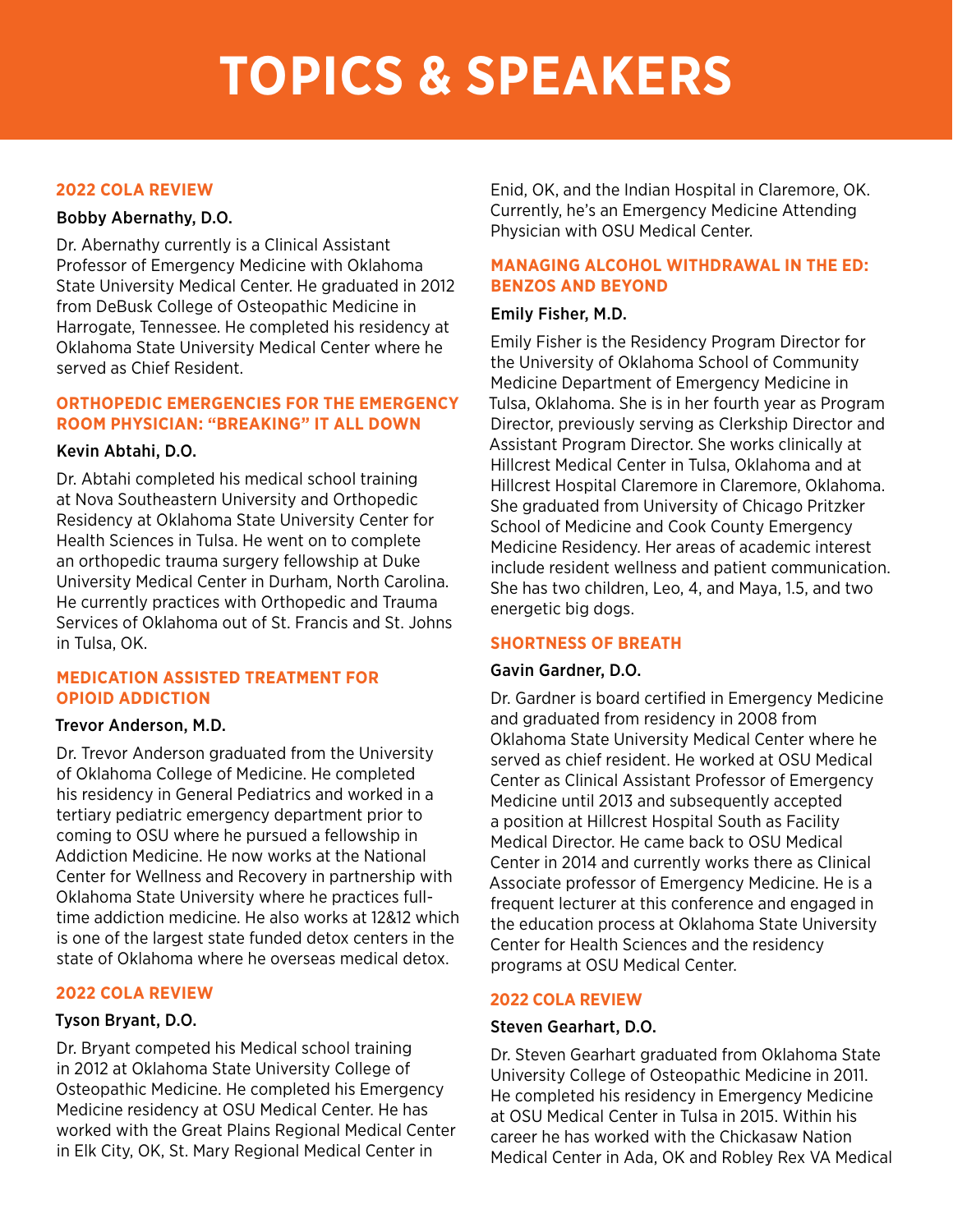#### **2022 COLA REVIEW**

#### Bobby Abernathy, D.O.

Dr. Abernathy currently is a Clinical Assistant Professor of Emergency Medicine with Oklahoma State University Medical Center. He graduated in 2012 from DeBusk College of Osteopathic Medicine in Harrogate, Tennessee. He completed his residency at Oklahoma State University Medical Center where he served as Chief Resident.

#### **ORTHOPEDIC EMERGENCIES FOR THE EMERGENCY ROOM PHYSICIAN: "BREAKING" IT ALL DOWN**

#### Kevin Abtahi, D.O.

Dr. Abtahi completed his medical school training at Nova Southeastern University and Orthopedic Residency at Oklahoma State University Center for Health Sciences in Tulsa. He went on to complete an orthopedic trauma surgery fellowship at Duke University Medical Center in Durham, North Carolina. He currently practices with Orthopedic and Trauma Services of Oklahoma out of St. Francis and St. Johns in Tulsa, OK.

#### **MEDICATION ASSISTED TREATMENT FOR OPIOID ADDICTION**

#### Trevor Anderson, M.D.

Dr. Trevor Anderson graduated from the University of Oklahoma College of Medicine. He completed his residency in General Pediatrics and worked in a tertiary pediatric emergency department prior to coming to OSU where he pursued a fellowship in Addiction Medicine. He now works at the National Center for Wellness and Recovery in partnership with Oklahoma State University where he practices fulltime addiction medicine. He also works at 12&12 which is one of the largest state funded detox centers in the state of Oklahoma where he overseas medical detox.

#### **2022 COLA REVIEW**

### Tyson Bryant, D.O.

Dr. Bryant competed his Medical school training in 2012 at Oklahoma State University College of Osteopathic Medicine. He completed his Emergency Medicine residency at OSU Medical Center. He has worked with the Great Plains Regional Medical Center in Elk City, OK, St. Mary Regional Medical Center in

Enid, OK, and the Indian Hospital in Claremore, OK. Currently, he's an Emergency Medicine Attending Physician with OSU Medical Center.

### **MANAGING ALCOHOL WITHDRAWAL IN THE ED: BENZOS AND BEYOND**

#### Emily Fisher, M.D.

Emily Fisher is the Residency Program Director for the University of Oklahoma School of Community Medicine Department of Emergency Medicine in Tulsa, Oklahoma. She is in her fourth year as Program Director, previously serving as Clerkship Director and Assistant Program Director. She works clinically at Hillcrest Medical Center in Tulsa, Oklahoma and at Hillcrest Hospital Claremore in Claremore, Oklahoma. She graduated from University of Chicago Pritzker School of Medicine and Cook County Emergency Medicine Residency. Her areas of academic interest include resident wellness and patient communication. She has two children, Leo, 4, and Maya, 1.5, and two energetic big dogs.

### **SHORTNESS OF BREATH**

#### Gavin Gardner, D.O.

Dr. Gardner is board certified in Emergency Medicine and graduated from residency in 2008 from Oklahoma State University Medical Center where he served as chief resident. He worked at OSU Medical Center as Clinical Assistant Professor of Emergency Medicine until 2013 and subsequently accepted a position at Hillcrest Hospital South as Facility Medical Director. He came back to OSU Medical Center in 2014 and currently works there as Clinical Associate professor of Emergency Medicine. He is a frequent lecturer at this conference and engaged in the education process at Oklahoma State University Center for Health Sciences and the residency programs at OSU Medical Center.

### **2022 COLA REVIEW**

#### Steven Gearhart, D.O.

Dr. Steven Gearhart graduated from Oklahoma State University College of Osteopathic Medicine in 2011. He completed his residency in Emergency Medicine at OSU Medical Center in Tulsa in 2015. Within his career he has worked with the Chickasaw Nation Medical Center in Ada, OK and Robley Rex VA Medical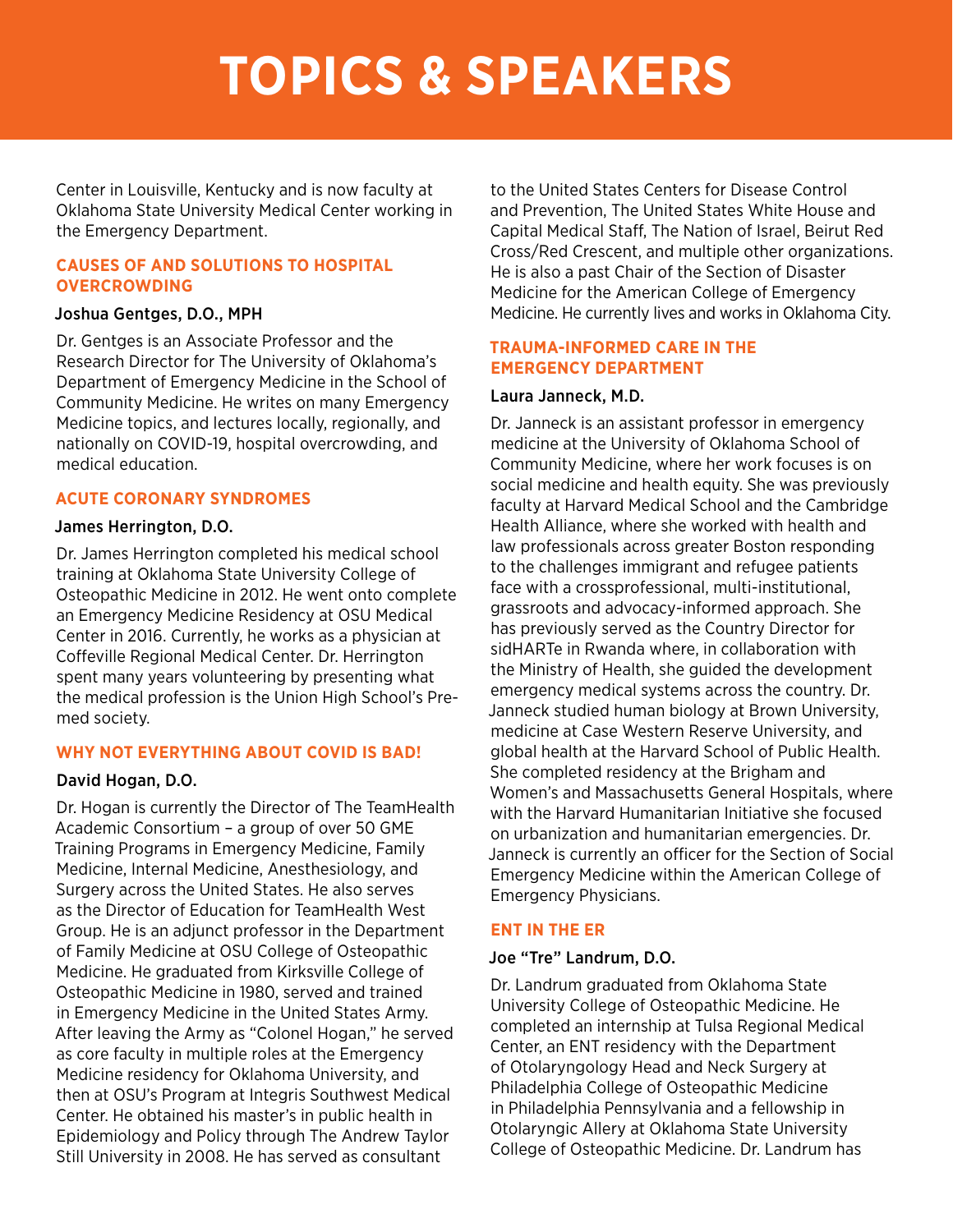Center in Louisville, Kentucky and is now faculty at Oklahoma State University Medical Center working in the Emergency Department.

#### **CAUSES OF AND SOLUTIONS TO HOSPITAL OVERCROWDING**

#### Joshua Gentges, D.O., MPH

Dr. Gentges is an Associate Professor and the Research Director for The University of Oklahoma's Department of Emergency Medicine in the School of Community Medicine. He writes on many Emergency Medicine topics, and lectures locally, regionally, and nationally on COVID-19, hospital overcrowding, and medical education.

### **ACUTE CORONARY SYNDROMES**

#### James Herrington, D.O.

Dr. James Herrington completed his medical school training at Oklahoma State University College of Osteopathic Medicine in 2012. He went onto complete an Emergency Medicine Residency at OSU Medical Center in 2016. Currently, he works as a physician at Coffeville Regional Medical Center. Dr. Herrington spent many years volunteering by presenting what the medical profession is the Union High School's Premed society.

### **WHY NOT EVERYTHING ABOUT COVID IS BAD!**

### David Hogan, D.O.

Dr. Hogan is currently the Director of The TeamHealth Academic Consortium – a group of over 50 GME Training Programs in Emergency Medicine, Family Medicine, Internal Medicine, Anesthesiology, and Surgery across the United States. He also serves as the Director of Education for TeamHealth West Group. He is an adjunct professor in the Department of Family Medicine at OSU College of Osteopathic Medicine. He graduated from Kirksville College of Osteopathic Medicine in 1980, served and trained in Emergency Medicine in the United States Army. After leaving the Army as "Colonel Hogan," he served as core faculty in multiple roles at the Emergency Medicine residency for Oklahoma University, and then at OSU's Program at Integris Southwest Medical Center. He obtained his master's in public health in Epidemiology and Policy through The Andrew Taylor Still University in 2008. He has served as consultant

to the United States Centers for Disease Control and Prevention, The United States White House and Capital Medical Staff, The Nation of Israel, Beirut Red Cross/Red Crescent, and multiple other organizations. He is also a past Chair of the Section of Disaster Medicine for the American College of Emergency Medicine. He currently lives and works in Oklahoma City.

#### **TRAUMA-INFORMED CARE IN THE EMERGENCY DEPARTMENT**

#### Laura Janneck, M.D.

Dr. Janneck is an assistant professor in emergency medicine at the University of Oklahoma School of Community Medicine, where her work focuses is on social medicine and health equity. She was previously faculty at Harvard Medical School and the Cambridge Health Alliance, where she worked with health and law professionals across greater Boston responding to the challenges immigrant and refugee patients face with a crossprofessional, multi-institutional, grassroots and advocacy-informed approach. She has previously served as the Country Director for sidHARTe in Rwanda where, in collaboration with the Ministry of Health, she guided the development emergency medical systems across the country. Dr. Janneck studied human biology at Brown University, medicine at Case Western Reserve University, and global health at the Harvard School of Public Health. She completed residency at the Brigham and Women's and Massachusetts General Hospitals, where with the Harvard Humanitarian Initiative she focused on urbanization and humanitarian emergencies. Dr. Janneck is currently an officer for the Section of Social Emergency Medicine within the American College of Emergency Physicians.

#### **ENT IN THE ER**

#### Joe "Tre" Landrum, D.O.

Dr. Landrum graduated from Oklahoma State University College of Osteopathic Medicine. He completed an internship at Tulsa Regional Medical Center, an ENT residency with the Department of Otolaryngology Head and Neck Surgery at Philadelphia College of Osteopathic Medicine in Philadelphia Pennsylvania and a fellowship in Otolaryngic Allery at Oklahoma State University College of Osteopathic Medicine. Dr. Landrum has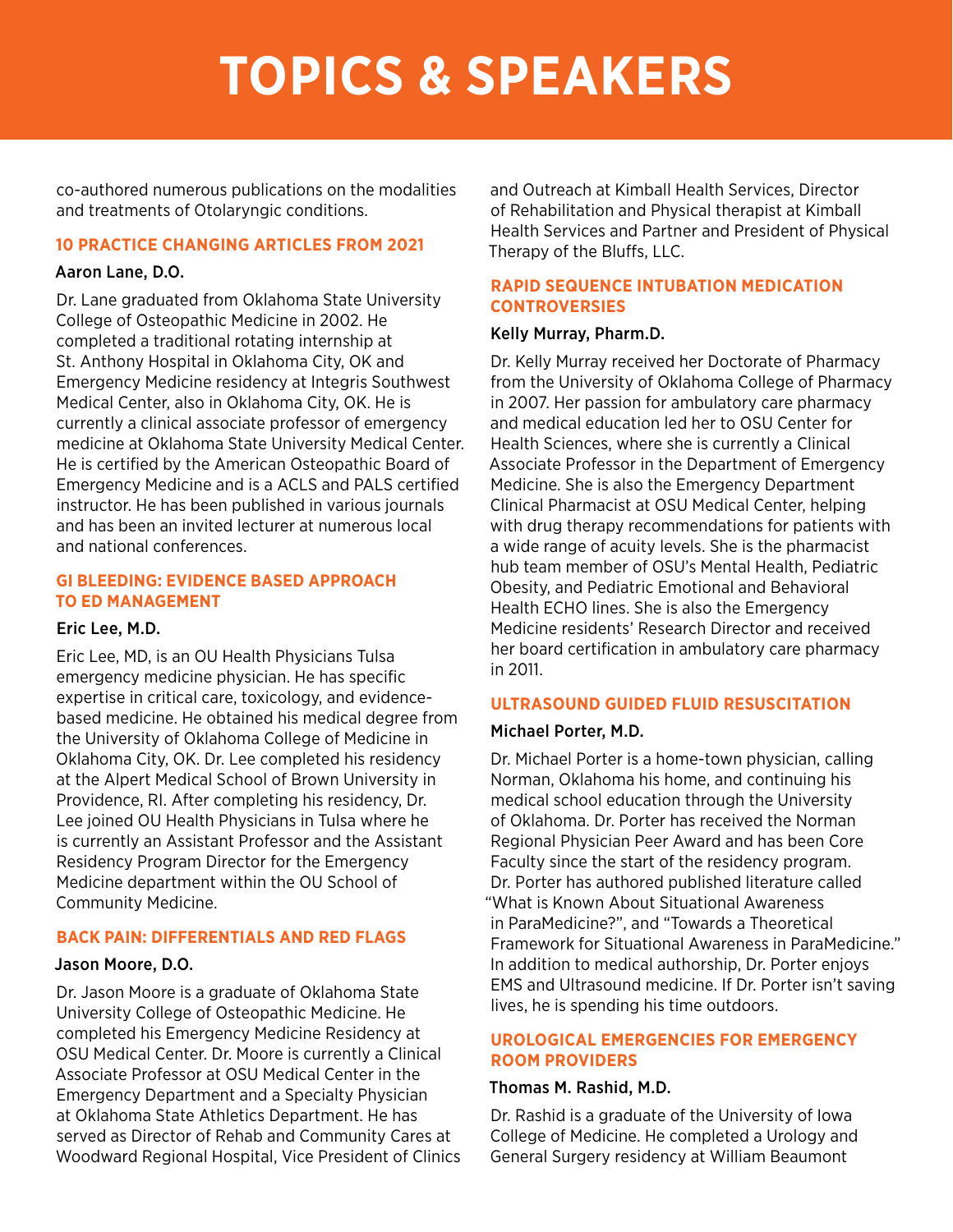co-authored numerous publications on the modalities and treatments of Otolaryngic conditions.

#### **10 PRACTICE CHANGING ARTICLES FROM 2021**

#### Aaron Lane, D.O.

Dr. Lane graduated from Oklahoma State University College of Osteopathic Medicine in 2002. He completed a traditional rotating internship at St. Anthony Hospital in Oklahoma City, OK and Emergency Medicine residency at Integris Southwest Medical Center, also in Oklahoma City, OK. He is currently a clinical associate professor of emergency medicine at Oklahoma State University Medical Center. He is certified by the American Osteopathic Board of Emergency Medicine and is a ACLS and PALS certified instructor. He has been published in various journals and has been an invited lecturer at numerous local and national conferences.

#### **GI BLEEDING: EVIDENCE BASED APPROACH TO ED MANAGEMENT**

#### Eric Lee, M.D.

Eric Lee, MD, is an OU Health Physicians Tulsa emergency medicine physician. He has specific expertise in critical care, toxicology, and evidencebased medicine. He obtained his medical degree from the University of Oklahoma College of Medicine in Oklahoma City, OK. Dr. Lee completed his residency at the Alpert Medical School of Brown University in Providence, RI. After completing his residency, Dr. Lee joined OU Health Physicians in Tulsa where he is currently an Assistant Professor and the Assistant Residency Program Director for the Emergency Medicine department within the OU School of Community Medicine.

#### **BACK PAIN: DIFFERENTIALS AND RED FLAGS**

#### Jason Moore, D.O.

Dr. Jason Moore is a graduate of Oklahoma State University College of Osteopathic Medicine. He completed his Emergency Medicine Residency at OSU Medical Center. Dr. Moore is currently a Clinical Associate Professor at OSU Medical Center in the Emergency Department and a Specialty Physician at Oklahoma State Athletics Department. He has served as Director of Rehab and Community Cares at Woodward Regional Hospital, Vice President of Clinics and Outreach at Kimball Health Services, Director of Rehabilitation and Physical therapist at Kimball Health Services and Partner and President of Physical Therapy of the Bluffs, LLC.

#### **RAPID SEQUENCE INTUBATION MEDICATION CONTROVERSIES**

#### Kelly Murray, Pharm.D.

Dr. Kelly Murray received her Doctorate of Pharmacy from the University of Oklahoma College of Pharmacy in 2007. Her passion for ambulatory care pharmacy and medical education led her to OSU Center for Health Sciences, where she is currently a Clinical Associate Professor in the Department of Emergency Medicine. She is also the Emergency Department Clinical Pharmacist at OSU Medical Center, helping with drug therapy recommendations for patients with a wide range of acuity levels. She is the pharmacist hub team member of OSU's Mental Health, Pediatric Obesity, and Pediatric Emotional and Behavioral Health ECHO lines. She is also the Emergency Medicine residents' Research Director and received her board certification in ambulatory care pharmacy in 2011.

#### **ULTRASOUND GUIDED FLUID RESUSCITATION**

#### Michael Porter, M.D.

Dr. Michael Porter is a home-town physician, calling Norman, Oklahoma his home, and continuing his medical school education through the University of Oklahoma. Dr. Porter has received the Norman Regional Physician Peer Award and has been Core Faculty since the start of the residency program. Dr. Porter has authored published literature called "What is Known About Situational Awareness in ParaMedicine?", and "Towards a Theoretical Framework for Situational Awareness in ParaMedicine." In addition to medical authorship, Dr. Porter enjoys EMS and Ultrasound medicine. If Dr. Porter isn't saving lives, he is spending his time outdoors.

#### **UROLOGICAL EMERGENCIES FOR EMERGENCY ROOM PROVIDERS**

#### Thomas M. Rashid, M.D.

Dr. Rashid is a graduate of the University of Iowa College of Medicine. He completed a Urology and General Surgery residency at William Beaumont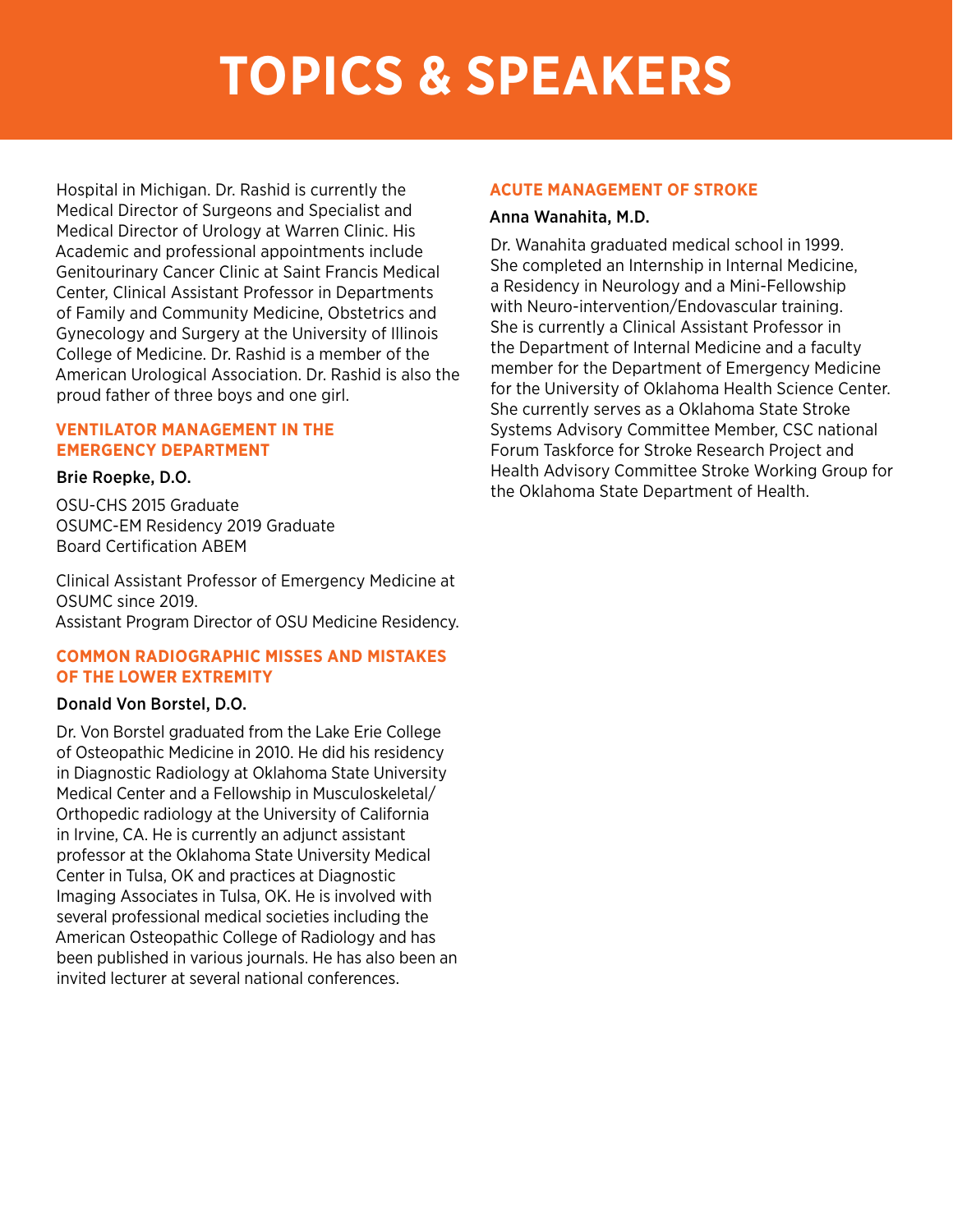Hospital in Michigan. Dr. Rashid is currently the Medical Director of Surgeons and Specialist and Medical Director of Urology at Warren Clinic. His Academic and professional appointments include Genitourinary Cancer Clinic at Saint Francis Medical Center, Clinical Assistant Professor in Departments of Family and Community Medicine, Obstetrics and Gynecology and Surgery at the University of Illinois College of Medicine. Dr. Rashid is a member of the American Urological Association. Dr. Rashid is also the proud father of three boys and one girl.

#### **VENTILATOR MANAGEMENT IN THE EMERGENCY DEPARTMENT**

#### Brie Roepke, D.O.

OSU-CHS 2015 Graduate OSUMC-EM Residency 2019 Graduate Board Certification ABEM

Clinical Assistant Professor of Emergency Medicine at OSUMC since 2019. Assistant Program Director of OSU Medicine Residency.

#### **COMMON RADIOGRAPHIC MISSES AND MISTAKES OF THE LOWER EXTREMITY**

#### Donald Von Borstel, D.O.

Dr. Von Borstel graduated from the Lake Erie College of Osteopathic Medicine in 2010. He did his residency in Diagnostic Radiology at Oklahoma State University Medical Center and a Fellowship in Musculoskeletal/ Orthopedic radiology at the University of California in Irvine, CA. He is currently an adjunct assistant professor at the Oklahoma State University Medical Center in Tulsa, OK and practices at Diagnostic Imaging Associates in Tulsa, OK. He is involved with several professional medical societies including the American Osteopathic College of Radiology and has been published in various journals. He has also been an invited lecturer at several national conferences.

#### **ACUTE MANAGEMENT OF STROKE**

#### Anna Wanahita, M.D.

Dr. Wanahita graduated medical school in 1999. She completed an Internship in Internal Medicine, a Residency in Neurology and a Mini-Fellowship with Neuro-intervention/Endovascular training. She is currently a Clinical Assistant Professor in the Department of Internal Medicine and a faculty member for the Department of Emergency Medicine for the University of Oklahoma Health Science Center. She currently serves as a Oklahoma State Stroke Systems Advisory Committee Member, CSC national Forum Taskforce for Stroke Research Project and Health Advisory Committee Stroke Working Group for the Oklahoma State Department of Health.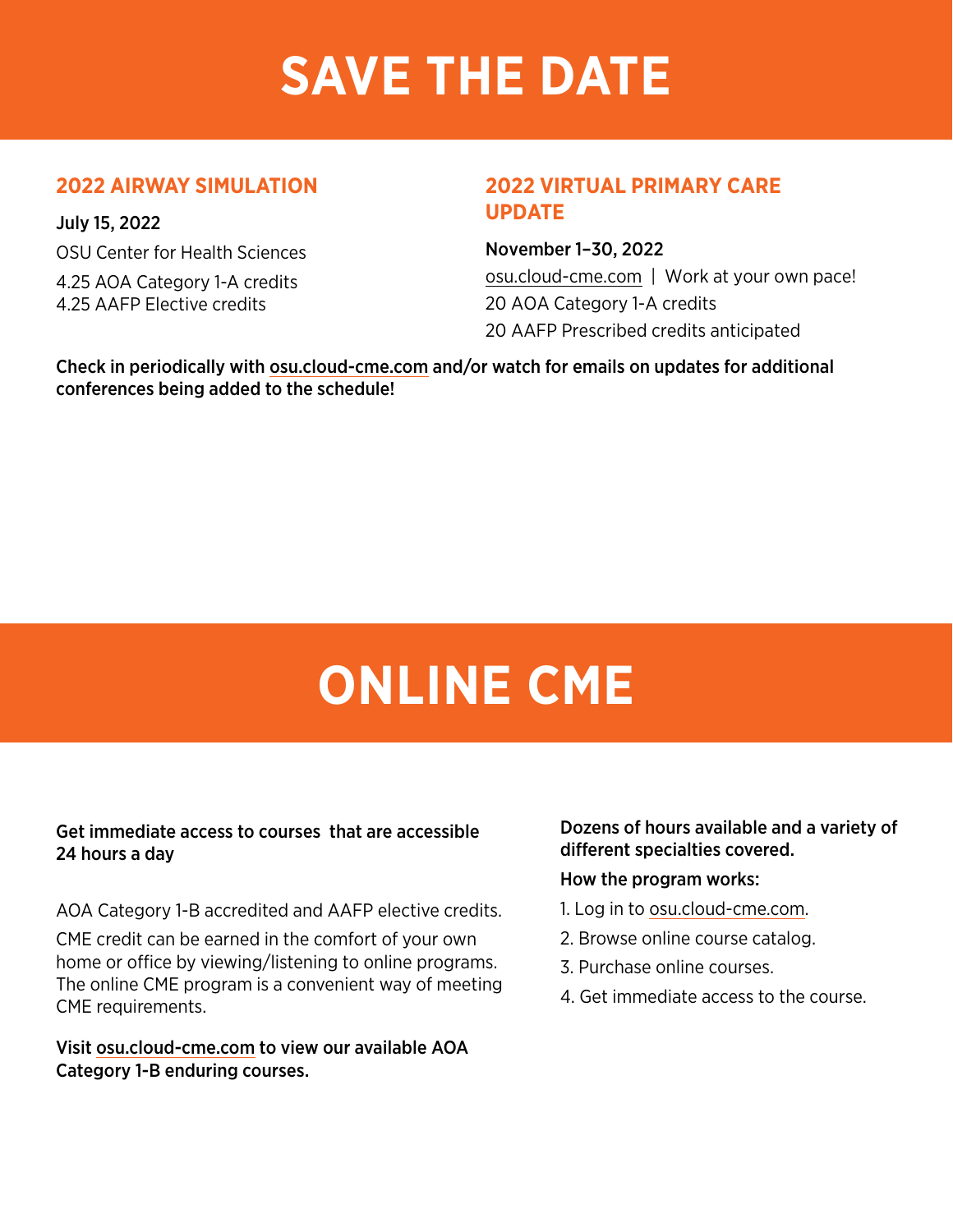# **SAVE THE DATE**

## **2022 AIRWAY SIMULATION**

July 15, 2022 OSU Center for Health Sciences 4.25 AOA Category 1-A credits 4.25 AAFP Elective credits

## **2022 VIRTUAL PRIMARY CARE UPDATE**

November 1–30, 2022

[osu.cloud-cme.com](http://osu.cloud-cme.com) | Work at your own pace! 20 AOA Category 1-A credits 20 AAFP Prescribed credits anticipated

Check in periodically with [osu.cloud-cme.com](http://osu.cloud-cme.com) and/or watch for emails on updates for additional conferences being added to the schedule!

# **ONLINE CME**

## Get immediate access to courses that are accessible 24 hours a day

AOA Category 1-B accredited and AAFP elective credits.

CME credit can be earned in the comfort of your own home or office by viewing/listening to online programs. The online CME program is a convenient way of meeting CME requirements.

Visit [osu.cloud-cme.com](http://osu.cloud-cme.com) to view our available AOA Category 1-B enduring courses.

## Dozens of hours available and a variety of different specialties covered.

### How the program works:

- 1. Log in to [osu.cloud-cme.com](http://osu.cloud-cme.com).
- 2. Browse online course catalog.
- 3. Purchase online courses.
- 4. Get immediate access to the course.